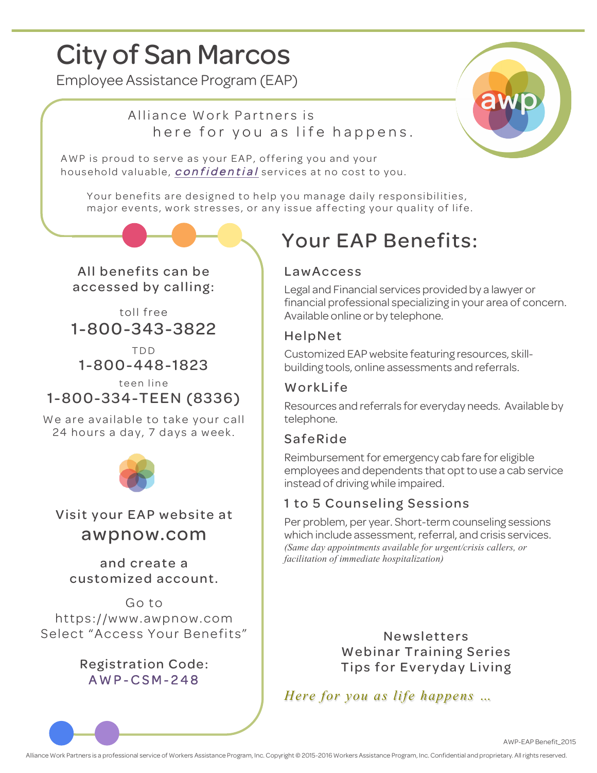# City of San Marcos

Employee Assistance Program (EAP)

### Alliance Work Partners is here for you as life happens.



AWP is proud to serve as your EAP, offering you and your household valuable, *confidential* services at no cost to you.

Your benefits are designed to help you manage daily responsibilities, major events, work stresses, or any issue affecting your quality of life.

All benefits can be accessed by calling:

toll free 1-800-343-3822

TDD 1-800-448-1823

teen line 1-800-334-TEEN (8336)

We are available to take your call 24 hours a day, 7 days a week.



Visit your EAP website at awpnow.com

and create a customized account.

Go to https://www.awpnow.com Select "Access Your Benefits"

> Registration Code: AWP - CSM - 248

# Your EAP Benefits:

#### LawAccess

Legal and Financial services provided by a lawyer or financial professional specializing in your area of concern. Available online or by telephone.

#### HelpNet

Customized EAP website featuring resources, skillbuilding tools, online assessments and referrals.

#### WorkLife

Resources and referrals for everyday needs. Available by telephone.

#### SafeRide

Reimbursement for emergency cab fare for eligible employees and dependents that opt to use a cab service instead of driving while impaired.

#### 1 to 5 Counseling Sessions

Per problem, per year. Short-term counseling sessions which include assessment, referral, and crisis services. *(Same day appointments available for urgent/crisis callers, or facilitation of immediate hospitalization)*

> Newsletters Webinar Training Series Tips for Everyday Living

*Here for you as life happens …*